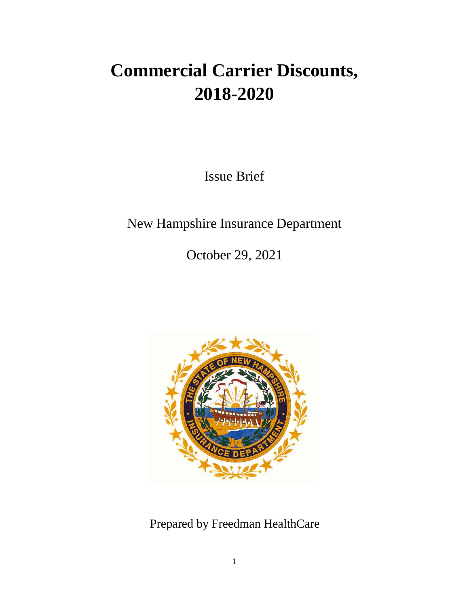# **Commercial Carrier Discounts, 2018-2020**

Issue Brief

New Hampshire Insurance Department

October 29, 2021



Prepared by Freedman HealthCare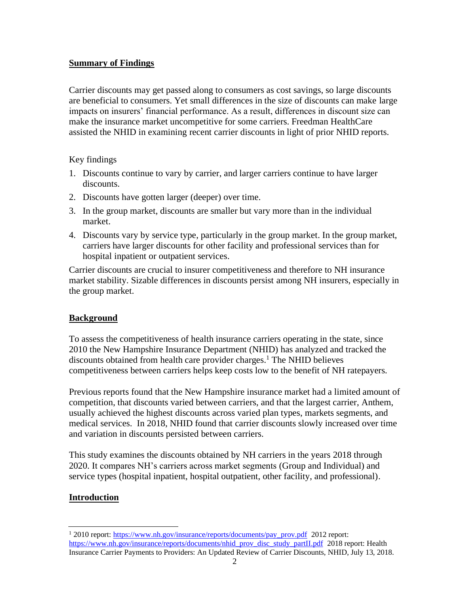## **Summary of Findings**

Carrier discounts may get passed along to consumers as cost savings, so large discounts are beneficial to consumers. Yet small differences in the size of discounts can make large impacts on insurers' financial performance. As a result, differences in discount size can make the insurance market uncompetitive for some carriers. Freedman HealthCare assisted the NHID in examining recent carrier discounts in light of prior NHID reports.

Key findings

- 1. Discounts continue to vary by carrier, and larger carriers continue to have larger discounts.
- 2. Discounts have gotten larger (deeper) over time.
- 3. In the group market, discounts are smaller but vary more than in the individual market.
- 4. Discounts vary by service type, particularly in the group market. In the group market, carriers have larger discounts for other facility and professional services than for hospital inpatient or outpatient services.

Carrier discounts are crucial to insurer competitiveness and therefore to NH insurance market stability. Sizable differences in discounts persist among NH insurers, especially in the group market.

# **Background**

To assess the competitiveness of health insurance carriers operating in the state, since 2010 the New Hampshire Insurance Department (NHID) has analyzed and tracked the discounts obtained from health care provider charges. <sup>1</sup> The NHID believes competitiveness between carriers helps keep costs low to the benefit of NH ratepayers.

Previous reports found that the New Hampshire insurance market had a limited amount of competition, that discounts varied between carriers, and that the largest carrier, Anthem, usually achieved the highest discounts across varied plan types, markets segments, and medical services. In 2018, NHID found that carrier discounts slowly increased over time and variation in discounts persisted between carriers.

This study examines the discounts obtained by NH carriers in the years 2018 through 2020. It compares NH's carriers across market segments (Group and Individual) and service types (hospital inpatient, hospital outpatient, other facility, and professional).

# **Introduction**

<sup>&</sup>lt;sup>1</sup> 2010 report[: https://www.nh.gov/insurance/reports/documents/pay\\_prov.pdf](https://www.nh.gov/insurance/reports/documents/pay_prov.pdf) 2012 report: [https://www.nh.gov/insurance/reports/documents/nhid\\_prov\\_disc\\_study\\_partII.pdf](https://www.nh.gov/insurance/reports/documents/nhid_prov_disc_study_partII.pdf) 2018 report: Health Insurance Carrier Payments to Providers: An Updated Review of Carrier Discounts, NHID, July 13, 2018.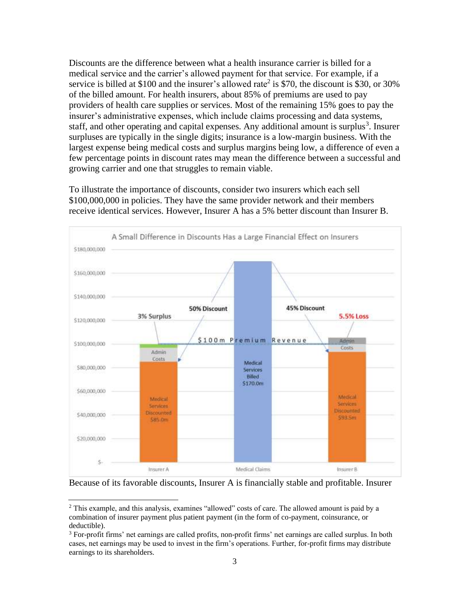Discounts are the difference between what a health insurance carrier is billed for a medical service and the carrier's allowed payment for that service. For example, if a service is billed at \$100 and the insurer's allowed rate<sup>2</sup> is \$70, the discount is \$30, or 30% of the billed amount. For health insurers, about 85% of premiums are used to pay providers of health care supplies or services. Most of the remaining 15% goes to pay the insurer's administrative expenses, which include claims processing and data systems, staff, and other operating and capital expenses. Any additional amount is surplus<sup>3</sup>. Insurer surpluses are typically in the single digits; insurance is a low-margin business. With the largest expense being medical costs and surplus margins being low, a difference of even a few percentage points in discount rates may mean the difference between a successful and growing carrier and one that struggles to remain viable.

To illustrate the importance of discounts, consider two insurers which each sell \$100,000,000 in policies. They have the same provider network and their members receive identical services. However, Insurer A has a 5% better discount than Insurer B.



Because of its favorable discounts, Insurer A is financially stable and profitable. Insurer

<sup>2</sup> This example, and this analysis, examines "allowed" costs of care. The allowed amount is paid by a combination of insurer payment plus patient payment (in the form of co-payment, coinsurance, or deductible).

<sup>&</sup>lt;sup>3</sup> For-profit firms' net earnings are called profits, non-profit firms' net earnings are called surplus. In both cases, net earnings may be used to invest in the firm's operations. Further, for-profit firms may distribute earnings to its shareholders.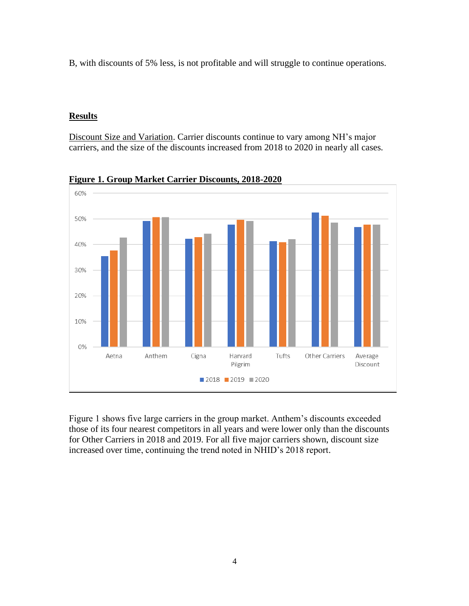B, with discounts of 5% less, is not profitable and will struggle to continue operations.

#### **Results**

Discount Size and Variation. Carrier discounts continue to vary among NH's major carriers, and the size of the discounts increased from 2018 to 2020 in nearly all cases.



**Figure 1. Group Market Carrier Discounts, 2018-2020**

Figure 1 shows five large carriers in the group market. Anthem's discounts exceeded those of its four nearest competitors in all years and were lower only than the discounts for Other Carriers in 2018 and 2019. For all five major carriers shown, discount size increased over time, continuing the trend noted in NHID's 2018 report.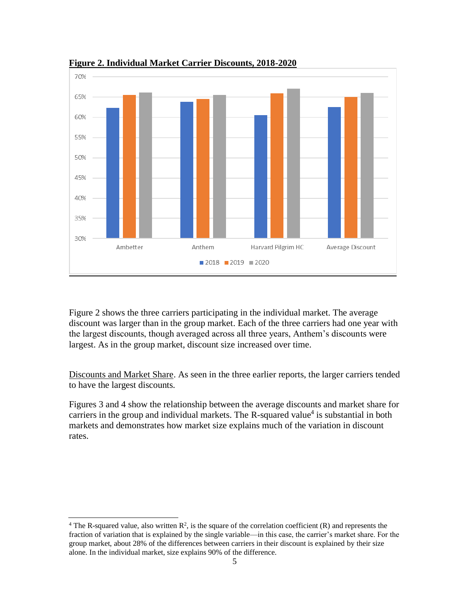

**Figure 2. Individual Market Carrier Discounts, 2018-2020**

Figure 2 shows the three carriers participating in the individual market. The average discount was larger than in the group market. Each of the three carriers had one year with the largest discounts, though averaged across all three years, Anthem's discounts were largest. As in the group market, discount size increased over time.

Discounts and Market Share. As seen in the three earlier reports, the larger carriers tended to have the largest discounts.

Figures 3 and 4 show the relationship between the average discounts and market share for carriers in the group and individual markets. The R-squared value<sup>4</sup> is substantial in both markets and demonstrates how market size explains much of the variation in discount rates.

<sup>&</sup>lt;sup>4</sup> The R-squared value, also written  $R^2$ , is the square of the correlation coefficient (R) and represents the fraction of variation that is explained by the single variable—in this case, the carrier's market share. For the group market, about 28% of the differences between carriers in their discount is explained by their size alone. In the individual market, size explains 90% of the difference.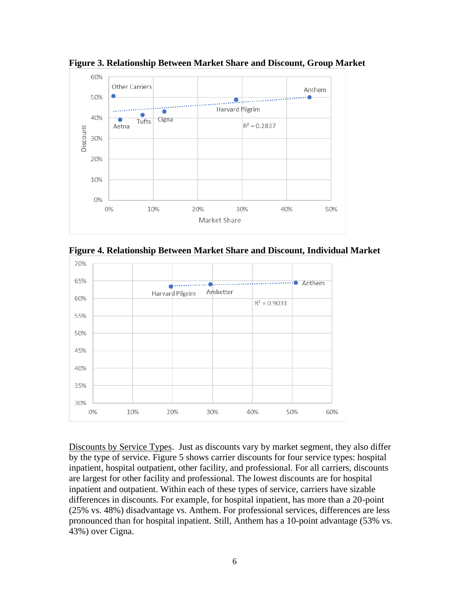

**Figure 3. Relationship Between Market Share and Discount, Group Market**

**Figure 4. Relationship Between Market Share and Discount, Individual Market**



Discounts by Service Types. Just as discounts vary by market segment, they also differ by the type of service. Figure 5 shows carrier discounts for four service types: hospital inpatient, hospital outpatient, other facility, and professional. For all carriers, discounts are largest for other facility and professional. The lowest discounts are for hospital inpatient and outpatient. Within each of these types of service, carriers have sizable differences in discounts. For example, for hospital inpatient, has more than a 20-point (25% vs. 48%) disadvantage vs. Anthem. For professional services, differences are less pronounced than for hospital inpatient. Still, Anthem has a 10-point advantage (53% vs. 43%) over Cigna.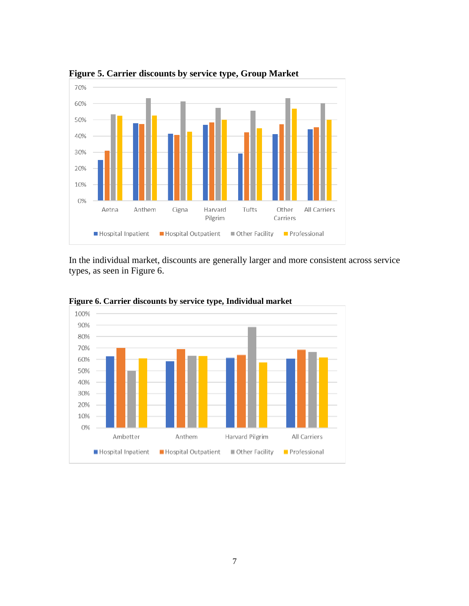

**Figure 5. Carrier discounts by service type, Group Market**

In the individual market, discounts are generally larger and more consistent across service types, as seen in Figure 6.



**Figure 6. Carrier discounts by service type, Individual market**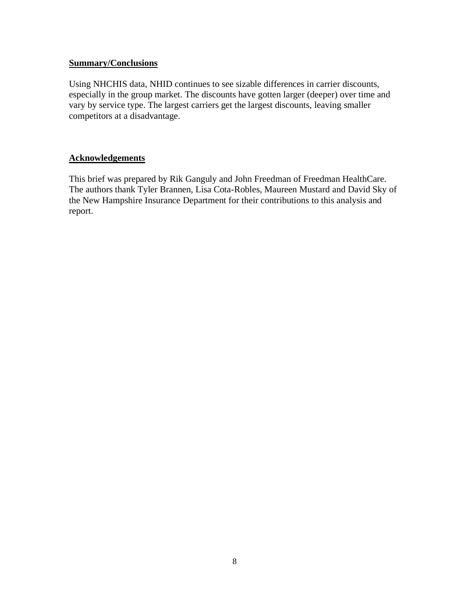## **Summary/Conclusions**

Using NHCHIS data, NHID continues to see sizable differences in carrier discounts, especially in the group market. The discounts have gotten larger (deeper) over time and vary by service type. The largest carriers get the largest discounts, leaving smaller competitors at a disadvantage.

## **Acknowledgements**

This brief was prepared by Rik Ganguly and John Freedman of Freedman HealthCare. The authors thank Tyler Brannen, Lisa Cota-Robles, Maureen Mustard and David Sky of the New Hampshire Insurance Department for their contributions to this analysis and report.